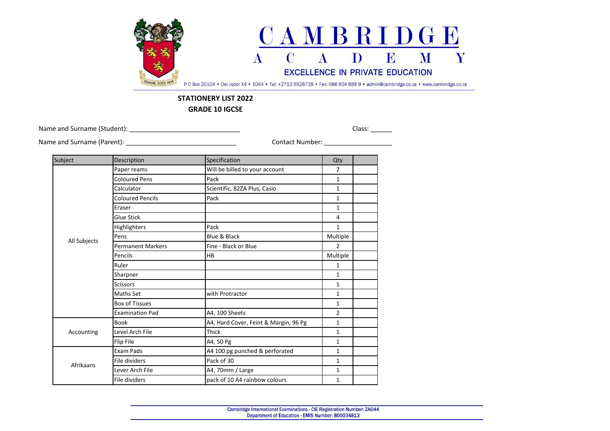

## **STATIONERY LIST 2022**

**GRADE 10 IGCSE**

Name and Surname (Student): \_\_\_\_\_\_\_\_\_\_\_\_\_\_\_\_\_\_\_\_\_\_\_\_\_\_\_\_\_\_\_ Class: \_\_\_\_\_\_

Name and Surname (Parent): \_\_\_\_\_\_\_\_\_\_\_\_\_\_\_\_\_\_\_\_\_\_\_\_\_\_\_\_\_\_\_ Contact Number: \_\_\_\_\_\_\_\_\_\_\_\_\_\_\_\_\_\_\_

| Subject      | Description              | Specification                         | Qty            |  |
|--------------|--------------------------|---------------------------------------|----------------|--|
|              | Paper reams              | Will be billed to your account        | $\overline{2}$ |  |
|              | <b>Coloured Pens</b>     | Pack                                  | 1              |  |
|              | Calculator               | Scientific, 82ZA Plus, Casio          | $\mathbf{1}$   |  |
|              | <b>Coloured Pencils</b>  | Pack                                  | 1              |  |
|              | Eraser                   |                                       | 1              |  |
|              | Glue Stick               |                                       | 4              |  |
|              | <b>Highlighters</b>      | Pack                                  | $\mathbf{1}$   |  |
|              | Pens                     | Blue & Black                          | Multiple       |  |
| All Subjects | <b>Permanent Markers</b> | Fine - Black or Blue                  | $\overline{2}$ |  |
|              | Pencils                  | <b>HB</b>                             | Multiple       |  |
|              | Ruler                    |                                       | $\mathbf{1}$   |  |
|              | Sharpner                 |                                       | 1              |  |
|              | <b>Scissors</b>          |                                       | 1              |  |
|              | Maths Set                | with Protractor                       | $\mathbf{1}$   |  |
|              | <b>Box of Tissues</b>    |                                       | 1              |  |
|              | <b>Examination Pad</b>   | A4, 100 Sheets                        | $\overline{2}$ |  |
| Accounting   | <b>Book</b>              | A4, Hard Cover, Feint & Margin, 96 Pg | 1              |  |
|              | Level Arch File          | Thick                                 | 1              |  |
|              | Flip File                | A4, 50 Pg                             | $\mathbf{1}$   |  |
| Afrikaans    | Exam Pads                | A4 100 pg punched & perforated        | 1              |  |
|              | File dividers            | Pack of 30                            | 1              |  |
|              | Lever Arch File          | A4, 70mm / Large                      | 1              |  |
|              | File dividers            | pack of 10 A4 rainbow colours         | $\mathbf{1}$   |  |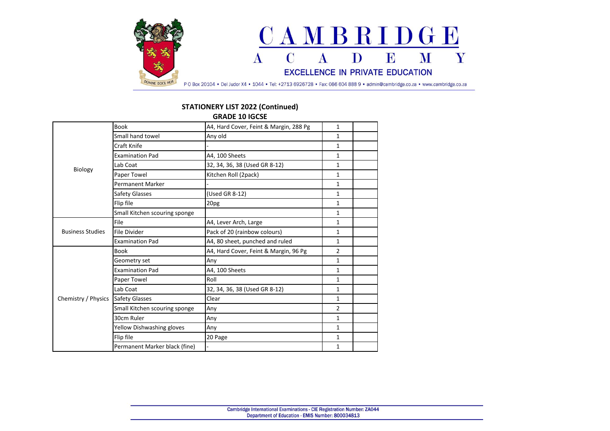

## **STATIONERY LIST 2022 (Continued)**

**GRADE 10 IGCSE**

| Biology                 | <b>Book</b>                   | A4, Hard Cover, Feint & Margin, 288 Pg | $\mathbf{1}$   |  |
|-------------------------|-------------------------------|----------------------------------------|----------------|--|
|                         | Small hand towel              | Any old                                | $\mathbf{1}$   |  |
|                         | Craft Knife                   |                                        | 1              |  |
|                         | <b>Examination Pad</b>        | A4, 100 Sheets                         | 1              |  |
|                         | Lab Coat                      | 32, 34, 36, 38 (Used GR 8-12)          | 1              |  |
|                         | Paper Towel                   | Kitchen Roll (2pack)                   | $\mathbf{1}$   |  |
|                         | <b>Permanent Marker</b>       |                                        | $\mathbf{1}$   |  |
|                         | Safety Glasses                | (Used GR 8-12)                         | $\mathbf{1}$   |  |
|                         | Flip file                     | 20pg                                   | $\mathbf{1}$   |  |
|                         | Small Kitchen scouring sponge |                                        | $\mathbf{1}$   |  |
|                         | File                          | A4, Lever Arch, Large                  | 1              |  |
| <b>Business Studies</b> | File Divider                  | Pack of 20 (rainbow colours)           | 1              |  |
|                         | <b>Examination Pad</b>        | A4, 80 sheet, punched and ruled        | $\mathbf{1}$   |  |
|                         | <b>Book</b>                   | A4, Hard Cover, Feint & Margin, 96 Pg  | $\overline{2}$ |  |
|                         | Geometry set                  | Any                                    | $\mathbf{1}$   |  |
|                         | <b>Examination Pad</b>        | A4, 100 Sheets                         | 1              |  |
|                         | Paper Towel                   | Roll                                   | $\mathbf{1}$   |  |
|                         | Lab Coat                      | 32, 34, 36, 38 (Used GR 8-12)          | $\mathbf{1}$   |  |
| Chemistry / Physics     | <b>Safety Glasses</b>         | Clear                                  | $\mathbf{1}$   |  |
|                         | Small Kitchen scouring sponge | Any                                    | $\overline{2}$ |  |
|                         | 30cm Ruler                    | Any                                    | $\mathbf{1}$   |  |
|                         | Yellow Dishwashing gloves     | Any                                    | 1              |  |
|                         | Flip file                     | 20 Page                                | 1              |  |
|                         | Permanent Marker black (fine) |                                        | $\mathbf{1}$   |  |